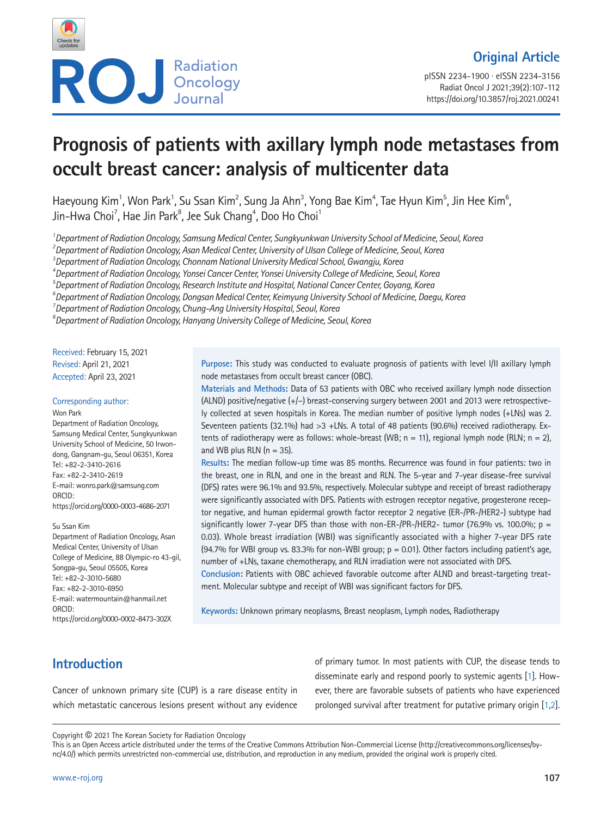

pISSN 2234-1900 · eISSN 2234-3156 Radiat Oncol J 2021;39(2):107-112 https://doi.org/10.3857/roj.2021.00241

# **Prognosis of patients with axillary lymph node metastases from occult breast cancer: analysis of multicenter data**

Haeyoung Kim<sup>1</sup>, Won Park<sup>1</sup>, Su Ssan Kim<sup>2</sup>, Sung Ja Ahn<sup>3</sup>, Yong Bae Kim<sup>4</sup>, Tae Hyun Kim<sup>5</sup>, Jin Hee Kim<sup>6</sup>, Jin-Hwa Choi<sup>7</sup>, Hae Jin Park $^{\rm 8}$ , Jee Suk Chang $^{\rm 4}$ , Doo Ho Choi $^{\rm 1}$ 

*1 Department of Radiation Oncology, Samsung Medical Center, Sungkyunkwan University School of Medicine, Seoul, Korea* 

*2 Department of Radiation Oncology, Asan Medical Center, University of Ulsan College of Medicine, Seoul, Korea* 

*3 Department of Radiation Oncology, Chonnam National University Medical School, Gwangju, Korea* 

*4 Department of Radiation Oncology, Yonsei Cancer Center, Yonsei University College of Medicine, Seoul, Korea* 

*5 Department of Radiation Oncology, Research Institute and Hospital, National Cancer Center, Goyang, Korea* 

*6 Department of Radiation Oncology, Dongsan Medical Center, Keimyung University School of Medicine, Daegu, Korea* 

*7 Department of Radiation Oncology, Chung-Ang University Hospital, Seoul, Korea* 

*8 Department of Radiation Oncology, Hanyang University College of Medicine, Seoul, Korea* 

Received: February 15, 2021 Revised: April 21, 2021 Accepted: April 23, 2021

#### Corresponding author:

Won Park Department of Radiation Oncology, Samsung Medical Center, Sungkyunkwan University School of Medicine, 50 Irwondong, Gangnam-gu, Seoul 06351, Korea Tel: +82-2-3410-2616 Fax: +82-2-3410-2619 E-mail: wonro.park@samsung.com ORCID: https://orcid.org/0000-0003-4686-2071

Su Ssan Kim Department of Radiation Oncology, Asan Medical Center, University of Ulsan College of Medicine, 88 Olympic-ro 43-gil, Songpa-gu, Seoul 05505, Korea Tel: +82-2-3010-5680 Fax: +82-2-3010-6950 E-mail: watermountain@hanmail.net ORCID:

https://orcid.org/0000-0002-8473-302X

**Purpose:** This study was conducted to evaluate prognosis of patients with level I/II axillary lymph node metastases from occult breast cancer (OBC).

**Materials and Methods:** Data of 53 patients with OBC who received axillary lymph node dissection (ALND) positive/negative (+/–) breast-conserving surgery between 2001 and 2013 were retrospectively collected at seven hospitals in Korea. The median number of positive lymph nodes (+LNs) was 2. Seventeen patients (32.1%) had >3 +LNs. A total of 48 patients (90.6%) received radiotherapy. Extents of radiotherapy were as follows: whole-breast (WB;  $n = 11$ ), regional lymph node (RLN;  $n = 2$ ), and WB plus RLN ( $n = 35$ ).

**Results:** The median follow-up time was 85 months. Recurrence was found in four patients: two in the breast, one in RLN, and one in the breast and RLN. The 5-year and 7-year disease-free survival (DFS) rates were 96.1% and 93.5%, respectively. Molecular subtype and receipt of breast radiotherapy were significantly associated with DFS. Patients with estrogen receptor negative, progesterone receptor negative, and human epidermal growth factor receptor 2 negative (ER-/PR-/HER2-) subtype had significantly lower 7-year DFS than those with non-ER-/PR-/HER2- tumor (76.9% vs. 100.0%; p = 0.03). Whole breast irradiation (WBI) was significantly associated with a higher 7-year DFS rate (94.7% for WBI group vs. 83.3% for non-WBI group;  $p = 0.01$ ). Other factors including patient's age, number of +LNs, taxane chemotherapy, and RLN irradiation were not associated with DFS.

**Conclusion:** Patients with OBC achieved favorable outcome after ALND and breast-targeting treatment. Molecular subtype and receipt of WBI was significant factors for DFS.

**Keywords:** Unknown primary neoplasms, Breast neoplasm, Lymph nodes, Radiotherapy

# **Introduction**

Cancer of unknown primary site (CUP) is a rare disease entity in which metastatic cancerous lesions present without any evidence of primary tumor. In most patients with CUP, the disease tends to disseminate early and respond poorly to systemic agents [\[1](#page-5-0)]. However, there are favorable subsets of patients who have experienced prolonged survival after treatment for putative primary origin [\[1](#page-5-0)[,2\]](#page-5-1).

Copyright © 2021 The Korean Society for Radiation Oncology

This is an Open Access article distributed under the terms of the Creative Commons Attribution Non-Commercial License (http://creativecommons.org/licenses/bync/4.0/) which permits unrestricted non-commercial use, distribution, and reproduction in any medium, provided the original work is properly cited.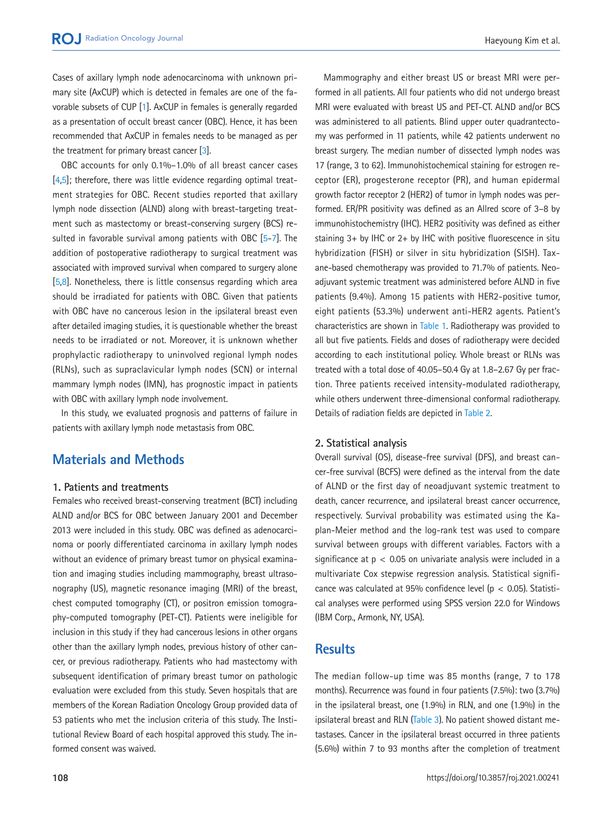Cases of axillary lymph node adenocarcinoma with unknown primary site (AxCUP) which is detected in females are one of the favorable subsets of CUP [\[1](#page-5-0)]. AxCUP in females is generally regarded as a presentation of occult breast cancer (OBC). Hence, it has been recommended that AxCUP in females needs to be managed as per the treatment for primary breast cancer [\[3\]](#page-5-2).

OBC accounts for only 0.1%–1.0% of all breast cancer cases [\[4](#page-5-3)[,5\]](#page-5-4); therefore, there was little evidence regarding optimal treatment strategies for OBC. Recent studies reported that axillary lymph node dissection (ALND) along with breast-targeting treatment such as mastectomy or breast-conserving surgery (BCS) resulted in favorable survival among patients with OBC [\[5](#page-5-4)[-7\]](#page-5-5). The addition of postoperative radiotherapy to surgical treatment was associated with improved survival when compared to surgery alone [\[5](#page-5-4)[,8\]](#page-5-6). Nonetheless, there is little consensus regarding which area should be irradiated for patients with OBC. Given that patients with OBC have no cancerous lesion in the ipsilateral breast even after detailed imaging studies, it is questionable whether the breast needs to be irradiated or not. Moreover, it is unknown whether prophylactic radiotherapy to uninvolved regional lymph nodes (RLNs), such as supraclavicular lymph nodes (SCN) or internal mammary lymph nodes (IMN), has prognostic impact in patients with OBC with axillary lymph node involvement.

In this study, we evaluated prognosis and patterns of failure in patients with axillary lymph node metastasis from OBC.

# **Materials and Methods**

## **1. Patients and treatments**

Females who received breast-conserving treatment (BCT) including ALND and/or BCS for OBC between January 2001 and December 2013 were included in this study. OBC was defined as adenocarcinoma or poorly differentiated carcinoma in axillary lymph nodes without an evidence of primary breast tumor on physical examination and imaging studies including mammography, breast ultrasonography (US), magnetic resonance imaging (MRI) of the breast, chest computed tomography (CT), or positron emission tomography-computed tomography (PET-CT). Patients were ineligible for inclusion in this study if they had cancerous lesions in other organs other than the axillary lymph nodes, previous history of other cancer, or previous radiotherapy. Patients who had mastectomy with subsequent identification of primary breast tumor on pathologic evaluation were excluded from this study. Seven hospitals that are members of the Korean Radiation Oncology Group provided data of 53 patients who met the inclusion criteria of this study. The Institutional Review Board of each hospital approved this study. The informed consent was waived.

Mammography and either breast US or breast MRI were performed in all patients. All four patients who did not undergo breast MRI were evaluated with breast US and PET-CT. ALND and/or BCS was administered to all patients. Blind upper outer quadrantectomy was performed in 11 patients, while 42 patients underwent no breast surgery. The median number of dissected lymph nodes was 17 (range, 3 to 62). Immunohistochemical staining for estrogen receptor (ER), progesterone receptor (PR), and human epidermal growth factor receptor 2 (HER2) of tumor in lymph nodes was performed. ER/PR positivity was defined as an Allred score of 3–8 by immunohistochemistry (IHC). HER2 positivity was defined as either staining 3+ by IHC or 2+ by IHC with positive fluorescence in situ hybridization (FISH) or silver in situ hybridization (SISH). Taxane-based chemotherapy was provided to 71.7% of patients. Neoadjuvant systemic treatment was administered before ALND in five patients (9.4%). Among 15 patients with HER2-positive tumor, eight patients (53.3%) underwent anti-HER2 agents. Patient's characteristics are shown in [Table 1.](#page-2-0) Radiotherapy was provided to all but five patients. Fields and doses of radiotherapy were decided according to each institutional policy. Whole breast or RLNs was treated with a total dose of 40.05–50.4 Gy at 1.8–2.67 Gy per fraction. Three patients received intensity-modulated radiotherapy, while others underwent three-dimensional conformal radiotherapy. Details of radiation fields are depicted in [Table 2.](#page-2-1)

## **2. Statistical analysis**

Overall survival (OS), disease-free survival (DFS), and breast cancer-free survival (BCFS) were defined as the interval from the date of ALND or the first day of neoadjuvant systemic treatment to death, cancer recurrence, and ipsilateral breast cancer occurrence, respectively. Survival probability was estimated using the Kaplan-Meier method and the log-rank test was used to compare survival between groups with different variables. Factors with a significance at  $p < 0.05$  on univariate analysis were included in a multivariate Cox stepwise regression analysis. Statistical significance was calculated at 95% confidence level ( $p < 0.05$ ). Statistical analyses were performed using SPSS version 22.0 for Windows (IBM Corp., Armonk, NY, USA).

## **Results**

The median follow-up time was 85 months (range, 7 to 178 months). Recurrence was found in four patients (7.5%): two (3.7%) in the ipsilateral breast, one (1.9%) in RLN, and one (1.9%) in the ipsilateral breast and RLN [\(Table 3\)](#page-2-2). No patient showed distant metastases. Cancer in the ipsilateral breast occurred in three patients (5.6%) within 7 to 93 months after the completion of treatment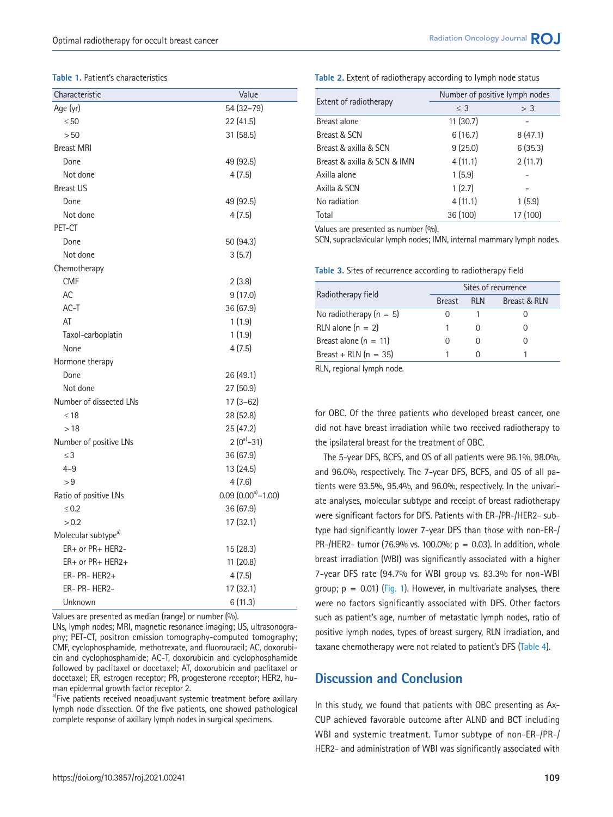#### <span id="page-2-0"></span>**Table 1.** Patient's characteristics

| Characteristic                  | Value                             |
|---------------------------------|-----------------------------------|
| Age (yr)                        | 54 (32-79)                        |
| $\leq 50$                       | 22 (41.5)                         |
| > 50                            | 31 (58.5)                         |
| <b>Breast MRI</b>               |                                   |
| Done                            | 49 (92.5)                         |
| Not done                        | 4(7.5)                            |
| <b>Breast US</b>                |                                   |
| Done                            | 49 (92.5)                         |
| Not done                        | 4(7.5)                            |
| PET-CT                          |                                   |
| Done                            | 50 (94.3)                         |
| Not done                        | 3(5.7)                            |
| Chemotherapy                    |                                   |
| <b>CMF</b>                      | 2(3.8)                            |
| AC                              | 9(17.0)                           |
| $AC-T$                          | 36 (67.9)                         |
| AT                              | 1(1.9)                            |
| Taxol-carboplatin               | 1(1.9)                            |
| None                            | 4(7.5)                            |
| Hormone therapy                 |                                   |
| Done                            | 26 (49.1)                         |
| Not done                        | 27 (50.9)                         |
| Number of dissected LNs         | $17(3-62)$                        |
| $\leq 18$                       | 28 (52.8)                         |
| >18                             | 25 (47.2)                         |
| Number of positive LNs          | $2(0^a - 31)$                     |
| $\leq$ 3                        | 36 (67.9)                         |
| $4 - 9$                         | 13 (24.5)                         |
| > 9                             | 4(7.6)                            |
| Ratio of positive LNs           | $0.09$ $(0.00^{\text{a}} - 1.00)$ |
| $\leq 0.2$                      | 36 (67.9)                         |
| > 0.2                           | 17 (32.1)                         |
| Molecular subtype <sup>a)</sup> |                                   |
| ER+ or PR+ HER2-                | 15 (28.3)                         |
| $ER+$ or $PR+$ HER2+            | 11(20.8)                          |
| $ER- PR- HER2+$                 | 4(7.5)                            |
| ER- PR- HER2-                   | 17 (32.1)                         |
| Unknown                         | 6(11.3)                           |

Values are presented as median (range) or number (%).

LNs, lymph nodes; MRI, magnetic resonance imaging; US, ultrasonography; PET-CT, positron emission tomography-computed tomography; CMF, cyclophosphamide, methotrexate, and fluorouracil; AC, doxorubicin and cyclophosphamide; AC-T, doxorubicin and cyclophosphamide followed by paclitaxel or docetaxel; AT, doxorubicin and paclitaxel or docetaxel; ER, estrogen receptor; PR, progesterone receptor; HER2, human epidermal growth factor receptor 2.

a)Five patients received neoadjuvant systemic treatment before axillary lymph node dissection. Of the five patients, one showed pathological complete response of axillary lymph nodes in surgical specimens.

#### <span id="page-2-1"></span>**Table 2.** Extent of radiotherapy according to lymph node status

| Extent of radiotherapy      | Number of positive lymph nodes |          |  |  |
|-----------------------------|--------------------------------|----------|--|--|
|                             | $\leq$ 3                       | > 3      |  |  |
| Breast alone                | 11(30.7)                       |          |  |  |
| Breast & SCN                | 6(16.7)                        | 8(47.1)  |  |  |
| Breast & axilla & SCN       | 9(25.0)                        | 6(35.3)  |  |  |
| Breast & axilla & SCN & IMN | 4(11.1)                        | 2(11.7)  |  |  |
| Axilla alone                | 1(5.9)                         |          |  |  |
| Axilla & SCN                | 1(2.7)                         |          |  |  |
| No radiation                | 4(11.1)                        | 1(5.9)   |  |  |
| Total                       | 36 (100)                       | 17 (100) |  |  |

Values are presented as number (%).

SCN, supraclavicular lymph nodes; IMN, internal mammary lymph nodes.

<span id="page-2-2"></span>**Table 3.** Sites of recurrence according to radiotherapy field

| Radiotherapy field        | Sites of recurrence |      |              |  |  |
|---------------------------|---------------------|------|--------------|--|--|
|                           | <b>Breast</b>       | RI N | Breast & RLN |  |  |
| No radiotherapy $(n = 5)$ | $\left( \right)$    |      |              |  |  |
| RLN alone $(n = 2)$       |                     |      |              |  |  |
| Breast alone $(n = 11)$   | $\mathcal{L}$       |      |              |  |  |
| Breast + RLN $(n = 35)$   |                     |      |              |  |  |
|                           |                     |      |              |  |  |

RLN, regional lymph node.

for OBC. Of the three patients who developed breast cancer, one did not have breast irradiation while two received radiotherapy to the ipsilateral breast for the treatment of OBC.

The 5-year DFS, BCFS, and OS of all patients were 96.1%, 98.0%, and 96.0%, respectively. The 7-year DFS, BCFS, and OS of all patients were 93.5%, 95.4%, and 96.0%, respectively. In the univariate analyses, molecular subtype and receipt of breast radiotherapy were significant factors for DFS. Patients with ER-/PR-/HER2- subtype had significantly lower 7-year DFS than those with non-ER-/ PR-/HER2- tumor (76.9% vs. 100.0%;  $p = 0.03$ ). In addition, whole breast irradiation (WBI) was significantly associated with a higher 7-year DFS rate (94.7% for WBI group vs. 83.3% for non-WBI group;  $p = 0.01$ ) (Fig. 1). However, in multivariate analyses, there were no factors significantly associated with DFS. Other factors such as patient's age, number of metastatic lymph nodes, ratio of positive lymph nodes, types of breast surgery, RLN irradiation, and taxane chemotherapy were not related to patient's DFS [\(Table 4\)](#page-3-0).

## **Discussion and Conclusion**

In this study, we found that patients with OBC presenting as Ax-CUP achieved favorable outcome after ALND and BCT including WBI and systemic treatment. Tumor subtype of non-ER-/PR-/ HER2- and administration of WBI was significantly associated with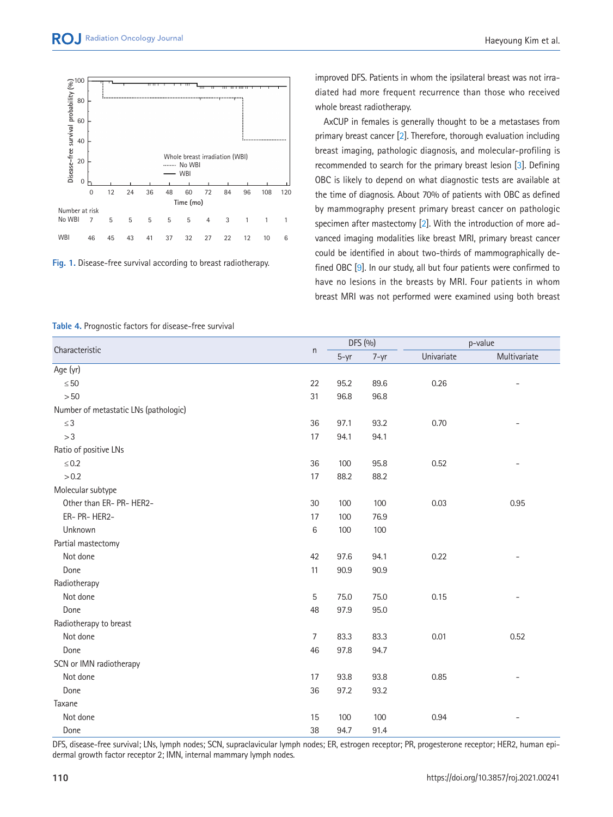

improved DFS. Patients in whom the ipsilateral breast was not irradiated had more frequent recurrence than those who received whole breast radiotherapy.

AxCUP in females is generally thought to be a metastases from primary breast cancer [\[2\]](#page-5-1). Therefore, thorough evaluation including breast imaging, pathologic diagnosis, and molecular-profiling is recommended to search for the primary breast lesion [\[3](#page-5-2)]. Defining OBC is likely to depend on what diagnostic tests are available at the time of diagnosis. About 70% of patients with OBC as defined by mammography present primary breast cancer on pathologic specimen after mastectomy [[2](#page-5-1)]. With the introduction of more advanced imaging modalities like breast MRI, primary breast cancer could be identified in about two-thirds of mammographically defined OBC [\[9\]](#page-5-7). In our study, all but four patients were confirmed to have no lesions in the breasts by MRI. Four patients in whom breast MRI was not performed were examined using both breast

| Characteristic                        | n       | DFS (%)  |          |            | p-value      |  |
|---------------------------------------|---------|----------|----------|------------|--------------|--|
|                                       |         | $5 - yr$ | $7 - yr$ | Univariate | Multivariate |  |
| Age (yr)                              |         |          |          |            |              |  |
| $\leq 50$                             | 22      | 95.2     | 89.6     | 0.26       |              |  |
| $>50$                                 | 31      | 96.8     | 96.8     |            |              |  |
| Number of metastatic LNs (pathologic) |         |          |          |            |              |  |
| $\leq 3$                              | 36      | 97.1     | 93.2     | 0.70       |              |  |
| >3                                    | 17      | 94.1     | 94.1     |            |              |  |
| Ratio of positive LNs                 |         |          |          |            |              |  |
| $\leq 0.2$                            | 36      | 100      | 95.8     | 0.52       |              |  |
| > 0.2                                 | 17      | 88.2     | 88.2     |            |              |  |
| Molecular subtype                     |         |          |          |            |              |  |
| Other than ER- PR- HER2-              | 30      | 100      | 100      | 0.03       | 0.95         |  |
| ER- PR- HER2-                         | 17      | 100      | 76.9     |            |              |  |
| Unknown                               | $\,6\,$ | 100      | 100      |            |              |  |
| Partial mastectomy                    |         |          |          |            |              |  |
| Not done                              | 42      | 97.6     | 94.1     | 0.22       |              |  |
| Done                                  | 11      | 90.9     | 90.9     |            |              |  |
| Radiotherapy                          |         |          |          |            |              |  |
| Not done                              | 5       | 75.0     | 75.0     | 0.15       |              |  |
| Done                                  | 48      | 97.9     | 95.0     |            |              |  |
| Radiotherapy to breast                |         |          |          |            |              |  |
| Not done                              | 7       | 83.3     | 83.3     | 0.01       | 0.52         |  |
| Done                                  | 46      | 97.8     | 94.7     |            |              |  |
| SCN or IMN radiotherapy               |         |          |          |            |              |  |
| Not done                              | 17      | 93.8     | 93.8     | 0.85       |              |  |
| Done                                  | 36      | 97.2     | 93.2     |            |              |  |
| Taxane                                |         |          |          |            |              |  |
| Not done                              | 15      | 100      | 100      | 0.94       |              |  |
| Done                                  | 38      | 94.7     | 91.4     |            |              |  |

<span id="page-3-0"></span>**Table 4.** Prognostic factors for disease-free survival

DFS, disease-free survival; LNs, lymph nodes; SCN, supraclavicular lymph nodes; ER, estrogen receptor; PR, progesterone receptor; HER2, human epidermal growth factor receptor 2; IMN, internal mammary lymph nodes.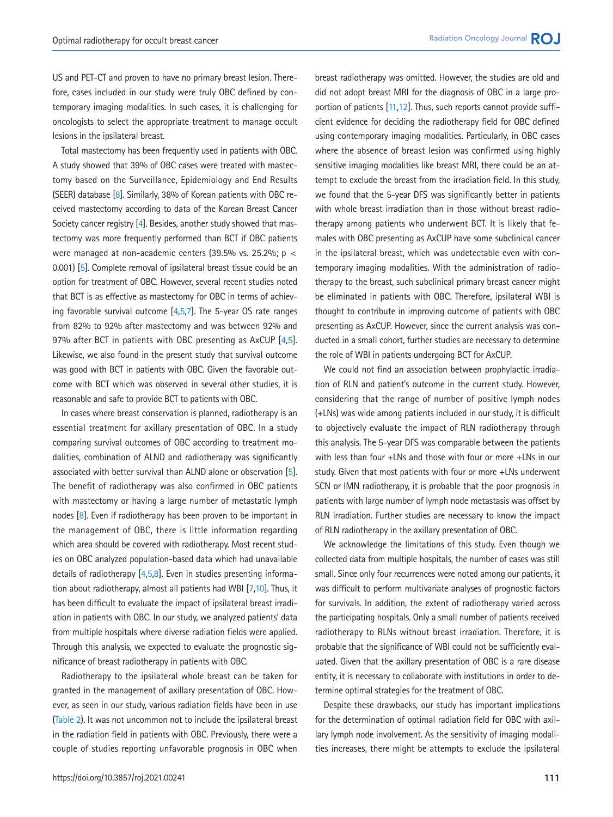US and PET-CT and proven to have no primary breast lesion. Therefore, cases included in our study were truly OBC defined by contemporary imaging modalities. In such cases, it is challenging for oncologists to select the appropriate treatment to manage occult lesions in the ipsilateral breast.

Total mastectomy has been frequently used in patients with OBC. A study showed that 39% of OBC cases were treated with mastectomy based on the Surveillance, Epidemiology and End Results (SEER) database [\[8\]](#page-5-6). Similarly, 38% of Korean patients with OBC received mastectomy according to data of the Korean Breast Cancer Society cancer registry [\[4\]](#page-5-3). Besides, another study showed that mastectomy was more frequently performed than BCT if OBC patients were managed at non-academic centers (39.5% vs. 25.2%;  $p <$ 0.001) [\[5](#page-5-4)]. Complete removal of ipsilateral breast tissue could be an option for treatment of OBC. However, several recent studies noted that BCT is as effective as mastectomy for OBC in terms of achieving favorable survival outcome [\[4](#page-5-3)[,5](#page-5-4)[,7\]](#page-5-5). The 5-year OS rate ranges from 82% to 92% after mastectomy and was between 92% and 97% after BCT in patients with OBC presenting as AxCUP [\[4,](#page-5-3)[5](#page-5-4)]. Likewise, we also found in the present study that survival outcome was good with BCT in patients with OBC. Given the favorable outcome with BCT which was observed in several other studies, it is reasonable and safe to provide BCT to patients with OBC.

In cases where breast conservation is planned, radiotherapy is an essential treatment for axillary presentation of OBC. In a study comparing survival outcomes of OBC according to treatment modalities, combination of ALND and radiotherapy was significantly associated with better survival than ALND alone or observation [5]. The benefit of radiotherapy was also confirmed in OBC patients with mastectomy or having a large number of metastatic lymph nodes [\[8](#page-5-6)]. Even if radiotherapy has been proven to be important in the management of OBC, there is little information regarding which area should be covered with radiotherapy. Most recent studies on OBC analyzed population-based data which had unavailable details of radiotherapy [\[4,](#page-5-3)[5](#page-5-4)[,8](#page-5-6)]. Even in studies presenting information about radiotherapy, almost all patients had WBI [\[7](#page-5-5)[,10\]](#page-5-8). Thus, it has been difficult to evaluate the impact of ipsilateral breast irradiation in patients with OBC. In our study, we analyzed patients' data from multiple hospitals where diverse radiation fields were applied. Through this analysis, we expected to evaluate the prognostic significance of breast radiotherapy in patients with OBC.

Radiotherapy to the ipsilateral whole breast can be taken for granted in the management of axillary presentation of OBC. However, as seen in our study, various radiation fields have been in use (Table 2). It was not uncommon not to include the ipsilateral breast in the radiation field in patients with OBC. Previously, there were a couple of studies reporting unfavorable prognosis in OBC when breast radiotherapy was omitted. However, the studies are old and did not adopt breast MRI for the diagnosis of OBC in a large proportion of patients [\[11](#page-5-9)[,12](#page-5-10)]. Thus, such reports cannot provide sufficient evidence for deciding the radiotherapy field for OBC defined using contemporary imaging modalities. Particularly, in OBC cases where the absence of breast lesion was confirmed using highly sensitive imaging modalities like breast MRI, there could be an attempt to exclude the breast from the irradiation field. In this study, we found that the 5-year DFS was significantly better in patients with whole breast irradiation than in those without breast radiotherapy among patients who underwent BCT. It is likely that females with OBC presenting as AxCUP have some subclinical cancer in the ipsilateral breast, which was undetectable even with contemporary imaging modalities. With the administration of radiotherapy to the breast, such subclinical primary breast cancer might be eliminated in patients with OBC. Therefore, ipsilateral WBI is thought to contribute in improving outcome of patients with OBC presenting as AxCUP. However, since the current analysis was conducted in a small cohort, further studies are necessary to determine the role of WBI in patients undergoing BCT for AxCUP.

We could not find an association between prophylactic irradiation of RLN and patient's outcome in the current study. However, considering that the range of number of positive lymph nodes (+LNs) was wide among patients included in our study, it is difficult to objectively evaluate the impact of RLN radiotherapy through this analysis. The 5-year DFS was comparable between the patients with less than four +LNs and those with four or more +LNs in our study. Given that most patients with four or more +LNs underwent SCN or IMN radiotherapy, it is probable that the poor prognosis in patients with large number of lymph node metastasis was offset by RLN irradiation. Further studies are necessary to know the impact of RLN radiotherapy in the axillary presentation of OBC.

We acknowledge the limitations of this study. Even though we collected data from multiple hospitals, the number of cases was still small. Since only four recurrences were noted among our patients, it was difficult to perform multivariate analyses of prognostic factors for survivals. In addition, the extent of radiotherapy varied across the participating hospitals. Only a small number of patients received radiotherapy to RLNs without breast irradiation. Therefore, it is probable that the significance of WBI could not be sufficiently evaluated. Given that the axillary presentation of OBC is a rare disease entity, it is necessary to collaborate with institutions in order to determine optimal strategies for the treatment of OBC.

Despite these drawbacks, our study has important implications for the determination of optimal radiation field for OBC with axillary lymph node involvement. As the sensitivity of imaging modalities increases, there might be attempts to exclude the ipsilateral